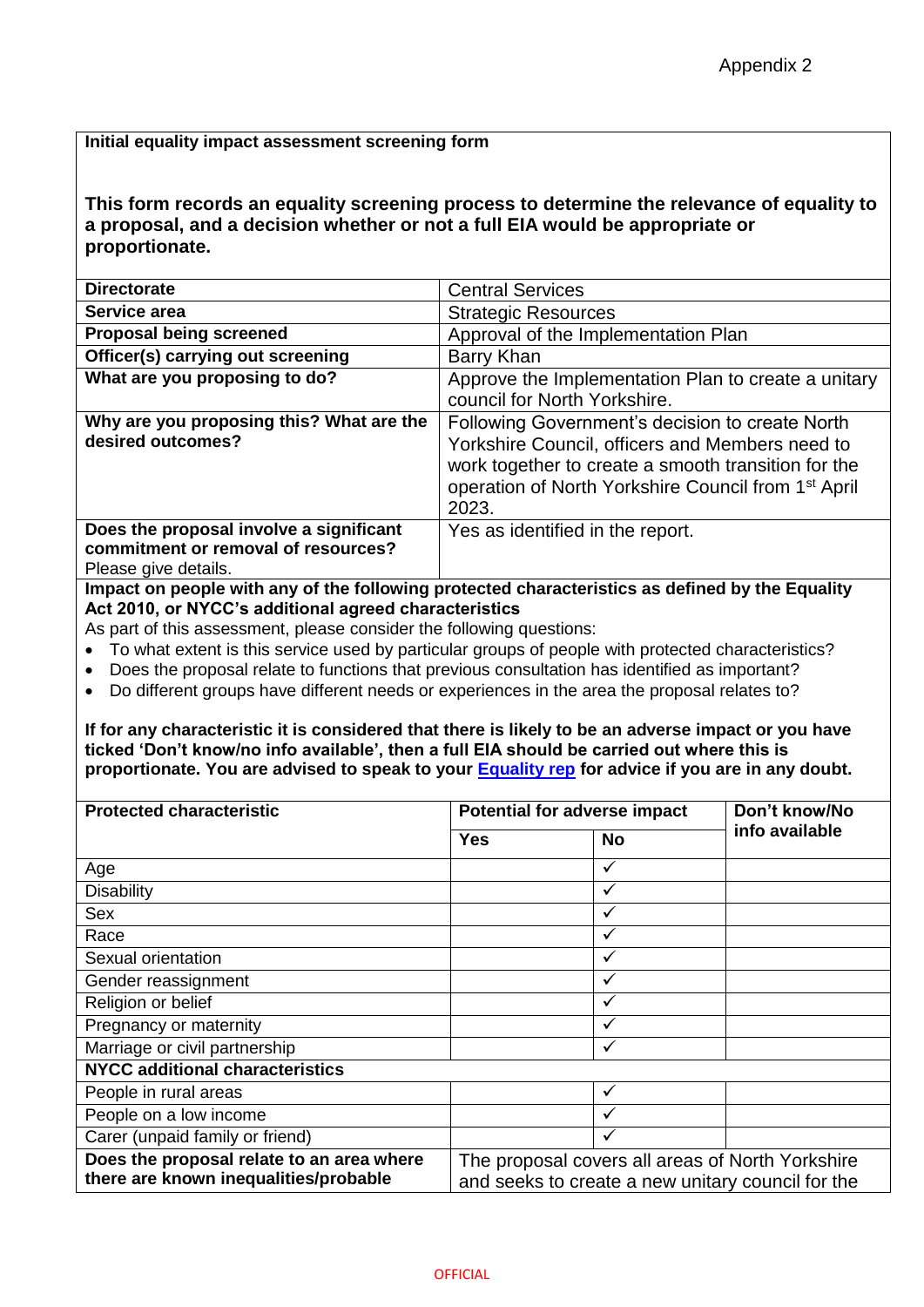## **Initial equality impact assessment screening form**

**This form records an equality screening process to determine the relevance of equality to a proposal, and a decision whether or not a full EIA would be appropriate or proportionate.**

| <b>Directorate</b>                                                                                     | <b>Central Services</b>                                                                                                                                                                                                               |  |  |  |
|--------------------------------------------------------------------------------------------------------|---------------------------------------------------------------------------------------------------------------------------------------------------------------------------------------------------------------------------------------|--|--|--|
| Service area                                                                                           | <b>Strategic Resources</b>                                                                                                                                                                                                            |  |  |  |
| <b>Proposal being screened</b>                                                                         | Approval of the Implementation Plan                                                                                                                                                                                                   |  |  |  |
| Officer(s) carrying out screening                                                                      | Barry Khan                                                                                                                                                                                                                            |  |  |  |
| What are you proposing to do?                                                                          | Approve the Implementation Plan to create a unitary<br>council for North Yorkshire.                                                                                                                                                   |  |  |  |
| Why are you proposing this? What are the<br>desired outcomes?                                          | Following Government's decision to create North<br>Yorkshire Council, officers and Members need to<br>work together to create a smooth transition for the<br>operation of North Yorkshire Council from 1 <sup>st</sup> April<br>2023. |  |  |  |
| Does the proposal involve a significant<br>commitment or removal of resources?<br>Please give details. | Yes as identified in the report.                                                                                                                                                                                                      |  |  |  |
| Impost an pospla with any of the following protocted eparacteristics as defined by the Equality        |                                                                                                                                                                                                                                       |  |  |  |

**Impact on people with any of the following protected characteristics as defined by the Equality Act 2010, or NYCC's additional agreed characteristics**

As part of this assessment, please consider the following questions:

- To what extent is this service used by particular groups of people with protected characteristics?
- Does the proposal relate to functions that previous consultation has identified as important?
- Do different groups have different needs or experiences in the area the proposal relates to?

**If for any characteristic it is considered that there is likely to be an adverse impact or you have ticked 'Don't know/no info available', then a full EIA should be carried out where this is proportionate. You are advised to speak to your [Equality rep](http://nyccintranet/content/equalities-contacts) for advice if you are in any doubt.**

| <b>Protected characteristic</b>                                                    |                                                                                                       | <b>Potential for adverse impact</b> | Don't know/No  |  |  |  |  |
|------------------------------------------------------------------------------------|-------------------------------------------------------------------------------------------------------|-------------------------------------|----------------|--|--|--|--|
|                                                                                    | Yes                                                                                                   | No                                  | info available |  |  |  |  |
| Age                                                                                |                                                                                                       | ✓                                   |                |  |  |  |  |
| <b>Disability</b>                                                                  |                                                                                                       | √                                   |                |  |  |  |  |
| <b>Sex</b>                                                                         |                                                                                                       | ✓                                   |                |  |  |  |  |
| Race                                                                               |                                                                                                       | ✓                                   |                |  |  |  |  |
| Sexual orientation                                                                 |                                                                                                       | ✓                                   |                |  |  |  |  |
| Gender reassignment                                                                |                                                                                                       | ✓                                   |                |  |  |  |  |
| Religion or belief                                                                 |                                                                                                       | ✓                                   |                |  |  |  |  |
| Pregnancy or maternity                                                             |                                                                                                       | ✓                                   |                |  |  |  |  |
| Marriage or civil partnership                                                      |                                                                                                       | √                                   |                |  |  |  |  |
| <b>NYCC additional characteristics</b>                                             |                                                                                                       |                                     |                |  |  |  |  |
| People in rural areas                                                              |                                                                                                       | $\checkmark$                        |                |  |  |  |  |
| People on a low income                                                             |                                                                                                       | $\checkmark$                        |                |  |  |  |  |
| Carer (unpaid family or friend)                                                    |                                                                                                       | ✓                                   |                |  |  |  |  |
| Does the proposal relate to an area where<br>there are known inequalities/probable | The proposal covers all areas of North Yorkshire<br>and seeks to create a new unitary council for the |                                     |                |  |  |  |  |